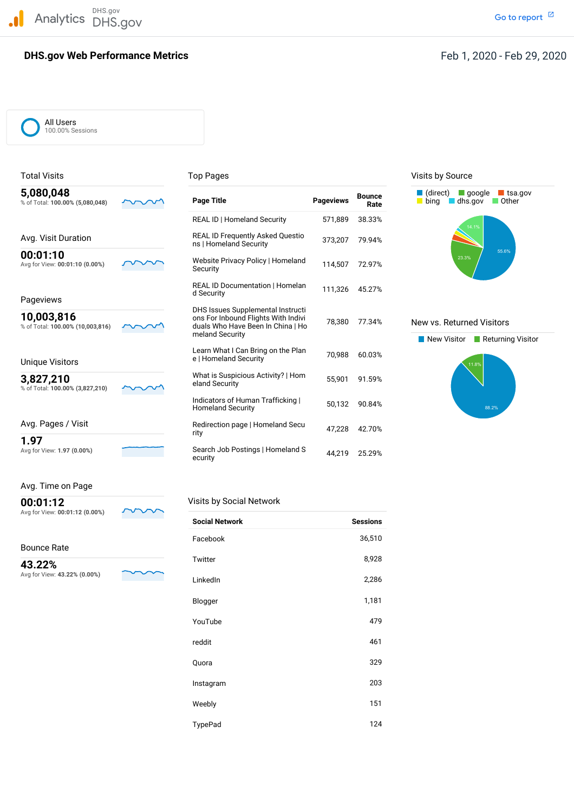Analytics DHS.gov

# **Meb Performance Metrics**<br>Feb $\begin{array}{ccc} \text{F} & \text{F} & \text{F} \text{F} \end{array}$ **DHS.gov Web Performance Metrics**

#### Feb 1, 2020 - Feb 29, 2020

| DHS.gov<br>Analytics                           | DHS.gov |                                                                                                                                  |                  |                       | Go to rep                                                             |
|------------------------------------------------|---------|----------------------------------------------------------------------------------------------------------------------------------|------------------|-----------------------|-----------------------------------------------------------------------|
| <b>DHS.gov Web Performance Metrics</b>         |         |                                                                                                                                  |                  |                       | Feb 1, 2020 - Feb 2                                                   |
| All Users<br>100.00% Sessions                  |         |                                                                                                                                  |                  |                       |                                                                       |
| <b>Total Visits</b>                            |         | <b>Top Pages</b>                                                                                                                 |                  |                       | Visits by Source                                                      |
| 5,080,048<br>% of Total: 100.00% (5,080,048)   |         | <b>Page Title</b>                                                                                                                | <b>Pageviews</b> | <b>Bounce</b><br>Rate | $\Box$ (direct)<br>$\Box$ google $\Box$ tsa.gov<br>bing dhs.gov Other |
|                                                |         | REAL ID   Homeland Security                                                                                                      | 571,889          | 38.33%                |                                                                       |
| Avg. Visit Duration                            |         | REAL ID Frequently Asked Questio<br>ns   Homeland Security                                                                       | 373,207          | 79.94%                | 14.1%                                                                 |
| 00:01:10<br>Avg for View: 00:01:10 (0.00%)     |         | Website Privacy Policy   Homeland<br>Security                                                                                    | 114,507          | 72.97%                | 55.6%<br>23.3%                                                        |
| Pageviews                                      |         | REAL ID Documentation   Homelan<br>d Security                                                                                    | 111,326          | 45.27%                |                                                                       |
| 10,003,816<br>% of Total: 100.00% (10,003,816) |         | DHS Issues Supplemental Instructi<br>ons For Inbound Flights With Indivi<br>duals Who Have Been In China   Ho<br>meland Security | 78,380           | 77.34%                | New vs. Returned Visitors<br>New Visitor <b>Returning Visit</b>       |
| <b>Unique Visitors</b>                         |         | Learn What I Can Bring on the Plan<br>e   Homeland Security                                                                      | 70,988           | 60.03%                | 11.8%                                                                 |
| 3,827,210<br>% of Total: 100.00% (3,827,210)   |         | What is Suspicious Activity?   Hom<br>eland Security                                                                             | 55,901           | 91.59%                |                                                                       |
|                                                |         | Indicators of Human Trafficking  <br><b>Homeland Security</b>                                                                    | 50,132           | 90.84%                | 88.2%                                                                 |
| Avg. Pages / Visit                             |         | Redirection page   Homeland Secu<br>rity                                                                                         | 47,228           | 42.70%                |                                                                       |
| 1.97<br>Avg for View: 1.97 (0.00%)             |         | Search Job Postings   Homeland S<br>ecurity                                                                                      |                  | 44,219 25.29%         |                                                                       |
| Avg. Time on Page                              |         |                                                                                                                                  |                  |                       |                                                                       |
| 00:01:12                                       |         | Visits by Social Network                                                                                                         |                  |                       |                                                                       |
| Avg for View: 00:01:12 (0.00%)                 |         | <b>Social Network</b>                                                                                                            |                  | <b>Sessions</b>       |                                                                       |
| <b>Bounce Rate</b>                             |         | Facebook                                                                                                                         |                  | 36,510                |                                                                       |
| 43.22%<br>Avg for View: 43.22% (0.00%)         |         | Twitter                                                                                                                          |                  | 8,928                 |                                                                       |
|                                                |         |                                                                                                                                  |                  |                       |                                                                       |





 Avg for View: **43.22% (0.00%) 43.22%**



| <b>Social Network</b> | <b>Sessions</b> |
|-----------------------|-----------------|
| Facebook              | 36,510          |
| Twitter               | 8,928           |
| LinkedIn              | 2,286           |
| Blogger               | 1,181           |
| YouTube               | 479             |
| reddit                | 461             |
| Quora                 | 329             |
| Instagram             | 203             |
| Weebly                | 151             |
| TypePad               | 124             |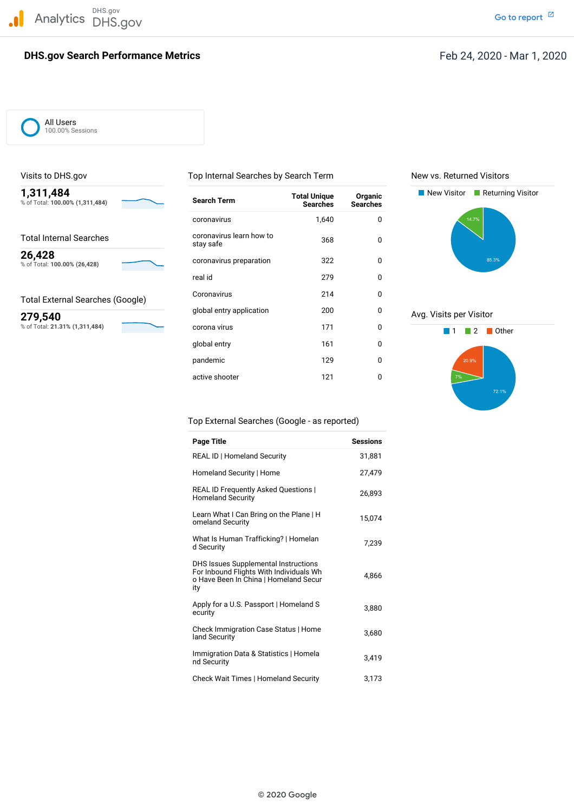

# **Search Performance Metrics**<br>Feb $\begin{array}{ccc} \text{Fe} & \text{Fe} & \text{Fe} \end{array}$ **DHS.gov Search Performance Metrics**

#### Feb 24, 2020 - Mar 1, 2020

All Users 100.00% Sessions



| 1,311,484<br>% of Total: 100.00% (1,311,484) |         | <b>Search Term</b>                    | <b>Total Unique</b><br><b>Searches</b> | Organic<br><b>Searches</b> | New Visitor <b>Returning Visitor</b> |
|----------------------------------------------|---------|---------------------------------------|----------------------------------------|----------------------------|--------------------------------------|
|                                              |         | coronavirus                           | 1,640                                  | 0                          | 14.7%                                |
| <b>Total Internal Searches</b>               |         | coronavirus learn how to<br>stay safe | 368                                    | 0                          |                                      |
| 26,428<br>% of Total: 100.00% (26,428)       |         | coronavirus preparation               | 322                                    | 0                          | 85.3%                                |
|                                              | real id | 279                                   | 0                                      |                            |                                      |
| <b>Total External Searches (Google)</b>      |         | Coronavirus                           | 214                                    | 0                          |                                      |
| 279,540                                      |         | global entry application              | 200                                    | 0                          | Avg. Visits per Visitor              |
| % of Total: 21.31% (1,311,484)               |         | corona virus                          | 171                                    | 0                          | <b>Other</b>                         |
|                                              |         | global entry                          | 161                                    | 0                          |                                      |
|                                              |         | pandemic                              | 129                                    | 0                          | 20.9%                                |
|                                              |         | active shooter                        | 121                                    | 0                          | 7%                                   |

Visits to DHS.gov Top Internal Searches by Search Term New vs. Returned Visitors





| DHS.gov<br>DHS.gov    |                                                                                                                                 |                                        |                            |
|-----------------------|---------------------------------------------------------------------------------------------------------------------------------|----------------------------------------|----------------------------|
|                       |                                                                                                                                 |                                        |                            |
| h Performance Metrics |                                                                                                                                 |                                        |                            |
|                       |                                                                                                                                 |                                        |                            |
|                       |                                                                                                                                 |                                        |                            |
|                       |                                                                                                                                 |                                        |                            |
| IS                    |                                                                                                                                 |                                        |                            |
|                       |                                                                                                                                 |                                        |                            |
|                       | Top Internal Searches by Search Term                                                                                            |                                        |                            |
| ,484)                 | <b>Search Term</b>                                                                                                              | <b>Total Unique</b><br><b>Searches</b> | Organic<br><b>Searches</b> |
|                       | coronavirus                                                                                                                     | 1,640                                  | 0                          |
| ches                  | coronavirus learn how to<br>stay safe                                                                                           | 368                                    | 0                          |
| :8)                   | coronavirus preparation                                                                                                         | 322                                    | 0                          |
|                       | real id                                                                                                                         | 279                                    | 0                          |
| ches (Google)         | Coronavirus                                                                                                                     | 214                                    | 0                          |
|                       | global entry application                                                                                                        | 200                                    | 0                          |
| 484)                  | corona virus                                                                                                                    | 171                                    | 0                          |
|                       | global entry                                                                                                                    | 161                                    | 0                          |
|                       | pandemic                                                                                                                        | 129                                    | 0                          |
|                       | active shooter                                                                                                                  | 121                                    | 0                          |
|                       |                                                                                                                                 |                                        |                            |
|                       | Top External Searches (Google - as reported)                                                                                    |                                        |                            |
|                       | <b>Page Title</b>                                                                                                               |                                        | Sessions                   |
|                       | REAL ID   Homeland Security                                                                                                     |                                        | 31,881                     |
|                       | Homeland Security   Home                                                                                                        |                                        | 27,479                     |
|                       | REAL ID Frequently Asked Questions  <br><b>Homeland Security</b>                                                                |                                        | 26,893                     |
|                       | Learn What I Can Bring on the Plane   H<br>omeland Security                                                                     |                                        | 15,074                     |
|                       | What Is Human Trafficking?   Homelan<br>d Security                                                                              |                                        | 7,239                      |
|                       | DHS Issues Supplemental Instructions<br>For Inbound Flights With Individuals Wh<br>o Have Been In China   Homeland Secur<br>ity |                                        | 4,866                      |
|                       | Apply for a U.S. Passport   Homeland S<br>ecurity                                                                               |                                        | 3,880                      |
|                       | Check Immigration Case Status   Home<br>land Security                                                                           |                                        | 3,680                      |
|                       | Immigration Data & Statistics   Homela<br>nd Security                                                                           |                                        | 3,419                      |
|                       | Check Wait Times   Homeland Security                                                                                            |                                        | 3,173                      |
|                       |                                                                                                                                 |                                        |                            |
|                       |                                                                                                                                 |                                        |                            |
|                       |                                                                                                                                 |                                        |                            |
|                       |                                                                                                                                 |                                        |                            |
|                       |                                                                                                                                 |                                        |                            |
|                       |                                                                                                                                 | © 2020 Google                          |                            |
|                       |                                                                                                                                 |                                        |                            |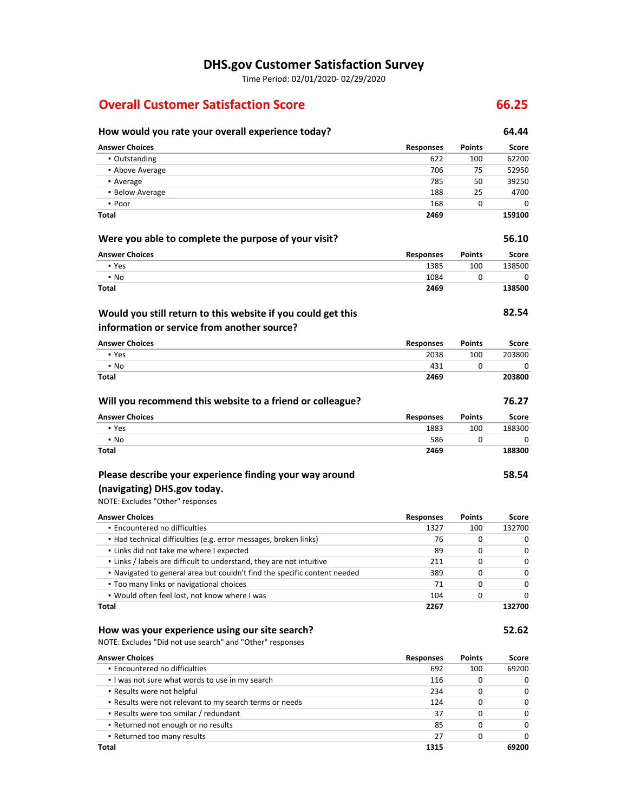### **DHS.gov Customer Satisfaction Survey**

Time Period: 02/01/2020‐ 02/29/2020

#### **Overall Customer Satisfaction Score 66.25**

#### **Will you recommend this website to a friend or colleague? 76.27 Encountered no difficulties**  ▪ Would often feel lost, not know where I was  **Would you still return to this website if you could get this (navigating) DHS.gov today.** Responses ▪ Above Average 706 75 52950 • Average **•** Below Average 188 25 4700 - Poor **•** Links / labels are difficult to understand, they are not intuitive **Too many links or navigational choices How would you rate your overall experience today? 64.44 Answer Choices Responses Points Score** ▪ Outstanding 622 100 62200 • Average 785 50 39250 **39250** ▪ Poor 168 0 0 **Total 2469 159100 Were you able to complete the purpose of your visit? 56.10 Answer Choices** ▪ Yes ▪ No **Total Responses** 1385 1084 **2469 Points** 100 0 **Score** 138500  $\Omega$ **138500 information or service from another source? 82.54 Answer Choices** ▪ Yes ▪ No **Total Responses** 2038 431 **2469 Points** 100 0 **Score** 203800  $\Omega$ **203800 Answer Choices** ▪ Yes ▪ No **Total Responses** 1883 586 **2469 Points** 100 0 **Score** 188300  $\overline{0}$ **188300 Please describe your experience finding your way around**  NOTE: Excludes "Other" responses **58.54 Answer Choices** ▪ Had technical difficulties (e.g. error messages, broken links) ▪ Links did not take me where I expected ▪ Navigated to general area but couldn't find the specific content needed **Total Responses** 1327 76 89 211 389 71 104 **2267 Points** 100 0 0  $\Omega$ 0 0 0 **Score** 132700 0 0 0 0 0 0 **132700 How was your experience using our site search? 52.62**

NOTE: Excludes "Did not use search" and "Other" responses

| <b>Answer Choices</b>                                   | <b>Responses</b> | <b>Points</b> | Score    |
|---------------------------------------------------------|------------------|---------------|----------|
| • Encountered no difficulties                           | 692              | 100           | 69200    |
| I was not sure what words to use in my search           | 116              | 0             | $\Omega$ |
| • Results were not helpful                              | 234              | 0             | $\Omega$ |
| . Results were not relevant to my search terms or needs | 124              | 0             | $\Omega$ |
| • Results were too similar / redundant                  | 37               | 0             | $\Omega$ |
| . Returned not enough or no results                     | 85               | 0             | $\Omega$ |
| • Returned too many results                             | 27               | 0             | $\Omega$ |
| Total                                                   | 1315             |               | 69200    |